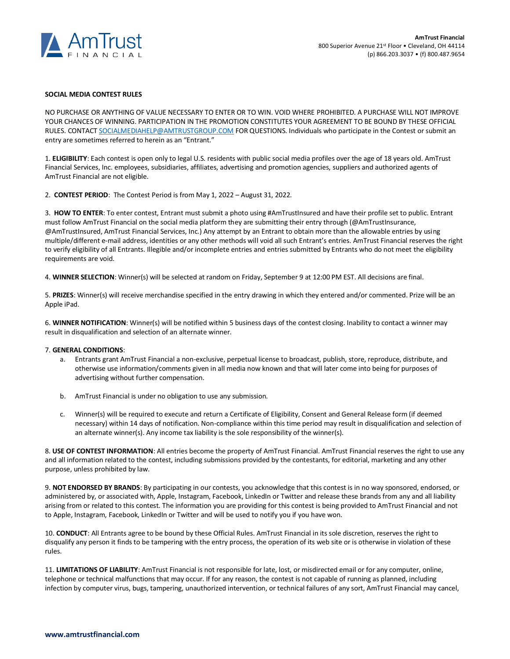

## **SOCIAL MEDIA CONTEST RULES**

NO PURCHASE OR ANYTHING OF VALUE NECESSARY TO ENTER OR TO WIN. VOID WHERE PROHIBITED. A PURCHASE WILL NOT IMPROVE YOUR CHANCES OF WINNING. PARTICIPATION IN THE PROMOTION CONSTITUTES YOUR AGREEMENT TO BE BOUND BY THESE OFFICIAL RULES. CONTAC[T SOCIALMEDIAHELP@AMTRUSTGROUP.COM](mailto:SOCIALMEDIAHELP@AMTRUSTGROUP.COM) FOR QUESTIONS. Individuals who participate in the Contest or submit an entry are sometimes referred to herein as an "Entrant."

1. **ELIGIBILITY**: Each contest is open only to legal U.S. residents with public social media profiles over the age of 18 years old. AmTrust Financial Services, Inc. employees, subsidiaries, affiliates, advertising and promotion agencies, suppliers and authorized agents of AmTrust Financial are not eligible.

2. **CONTEST PERIOD**: The Contest Period is from May 1, 2022 – August 31, 2022.

3. **HOW TO ENTER**: To enter contest, Entrant must submit a photo using #AmTrustInsured and have their profile set to public. Entrant must follow AmTrust Financial on the social media platform they are submitting their entry through (@AmTrustInsurance, @AmTrustInsured, AmTrust Financial Services, Inc.) Any attempt by an Entrant to obtain more than the allowable entries by using multiple/different e-mail address, identities or any other methods will void all such Entrant's entries. AmTrust Financial reserves the right to verify eligibility of all Entrants. Illegible and/or incomplete entries and entries submitted by Entrants who do not meet the eligibility requirements are void.

4. **WINNER SELECTION**: Winner(s) will be selected at random on Friday, September 9 at 12:00 PM EST. All decisions are final.

5. **PRIZES**: Winner(s) will receive merchandise specified in the entry drawing in which they entered and/or commented. Prize will be an Apple iPad.

6. **WINNER NOTIFICATION**: Winner(s) will be notified within 5 business days of the contest closing. Inability to contact a winner may result in disqualification and selection of an alternate winner.

## 7. **GENERAL CONDITIONS**:

- a. Entrants grant AmTrust Financial a non-exclusive, perpetual license to broadcast, publish, store, reproduce, distribute, and otherwise use information/comments given in all media now known and that will later come into being for purposes of advertising without further compensation.
- b. AmTrust Financial is under no obligation to use any submission.
- c. Winner(s) will be required to execute and return a Certificate of Eligibility, Consent and General Release form (if deemed necessary) within 14 days of notification. Non-compliance within this time period may result in disqualification and selection of an alternate winner(s). Any income tax liability is the sole responsibility of the winner(s).

8. **USE OF CONTEST INFORMATION**: All entries become the property of AmTrust Financial. AmTrust Financial reserves the right to use any and all information related to the contest, including submissions provided by the contestants, for editorial, marketing and any other purpose, unless prohibited by law.

9. **NOT ENDORSED BY BRANDS**: By participating in our contests, you acknowledge that this contest is in no way sponsored, endorsed, or administered by, or associated with, Apple, Instagram, Facebook, LinkedIn or Twitter and release these brands from any and all liability arising from or related to this contest. The information you are providing for this contest is being provided to AmTrust Financial and not to Apple, Instagram, Facebook, LinkedIn or Twitter and will be used to notify you if you have won.

10. **CONDUCT**: All Entrants agree to be bound by these Official Rules. AmTrust Financial in its sole discretion, reserves the right to disqualify any person it finds to be tampering with the entry process, the operation of its web site or is otherwise in violation of these rules.

11. **LIMITATIONS OF LIABILITY**: AmTrust Financial is not responsible for late, lost, or misdirected email or for any computer, online, telephone or technical malfunctions that may occur. If for any reason, the contest is not capable of running as planned, including infection by computer virus, bugs, tampering, unauthorized intervention, or technical failures of any sort, AmTrust Financial may cancel,